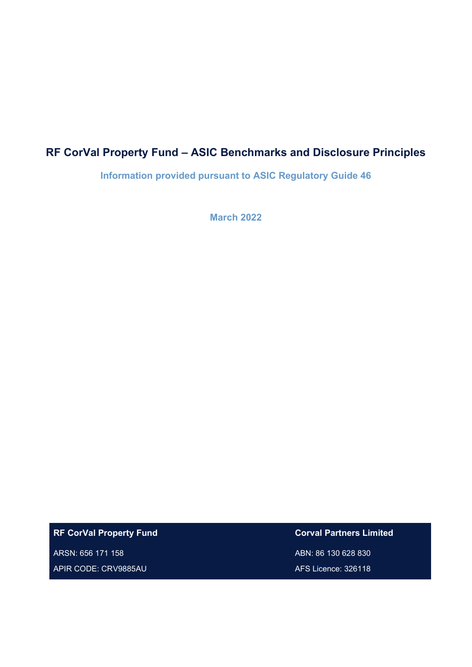# **RF CorVal Property Fund – ASIC Benchmarks and Disclosure Principles**

**Information provided pursuant to ASIC Regulatory Guide 46**

**March 2022**

**RF CorVal Property Fund**

ARSN: 656 171 158 APIR CODE: CRV9885AU **Corval Partners Limited** ABN: 86 130 628 830 AFS Licence: 326118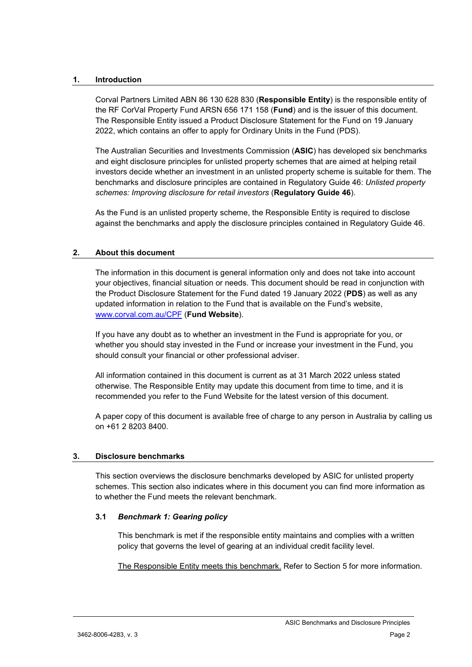## **1. Introduction**

Corval Partners Limited ABN 86 130 628 830 (**Responsible Entity**) is the responsible entity of the RF CorVal Property Fund ARSN 656 171 158 (**Fund**) and is the issuer of this document. The Responsible Entity issued a Product Disclosure Statement for the Fund on 19 January 2022, which contains an offer to apply for Ordinary Units in the Fund (PDS).

The Australian Securities and Investments Commission (**ASIC**) has developed six benchmarks and eight disclosure principles for unlisted property schemes that are aimed at helping retail investors decide whether an investment in an unlisted property scheme is suitable for them. The benchmarks and disclosure principles are contained in Regulatory Guide 46: *Unlisted property schemes: Improving disclosure for retail investors* (**Regulatory Guide 46**).

As the Fund is an unlisted property scheme, the Responsible Entity is required to disclose against the benchmarks and apply the disclosure principles contained in Regulatory Guide 46.

## **2. About this document**

The information in this document is general information only and does not take into account your objectives, financial situation or needs. This document should be read in conjunction with the Product Disclosure Statement for the Fund dated 19 January 2022 (**PDS**) as well as any updated information in relation to the Fund that is available on the Fund's website, [www.corval.com.au/](http://www.corval.com.au/)CPF (**Fund Website**).

If you have any doubt as to whether an investment in the Fund is appropriate for you, or whether you should stay invested in the Fund or increase your investment in the Fund, you should consult your financial or other professional adviser.

All information contained in this document is current as at 31 March 2022 unless stated otherwise. The Responsible Entity may update this document from time to time, and it is recommended you refer to the Fund Website for the latest version of this document.

A paper copy of this document is available free of charge to any person in Australia by calling us on +61 2 8203 8400.

## **3. Disclosure benchmarks**

This section overviews the disclosure benchmarks developed by ASIC for unlisted property schemes. This section also indicates where in this document you can find more information as to whether the Fund meets the relevant benchmark.

## **3.1** *Benchmark 1: Gearing policy*

This benchmark is met if the responsible entity maintains and complies with a written policy that governs the level of gearing at an individual credit facility level.

The Responsible Entity meets this benchmark. Refer to Section [5](#page-8-0) for more information.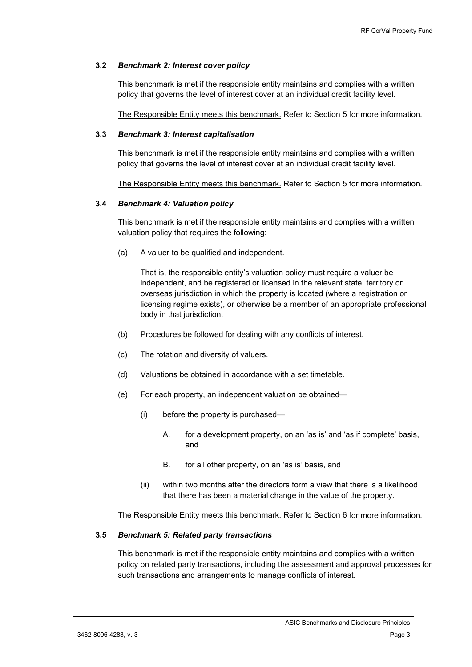## **3.2** *Benchmark 2: Interest cover policy*

This benchmark is met if the responsible entity maintains and complies with a written policy that governs the level of interest cover at an individual credit facility level.

The Responsible Entity meets this benchmark. Refer to Section [5](#page-8-0) for more information.

#### **3.3** *Benchmark 3: Interest capitalisation*

This benchmark is met if the responsible entity maintains and complies with a written policy that governs the level of interest cover at an individual credit facility level.

The Responsible Entity meets this benchmark. Refer to Section [5](#page-8-0) for more information.

#### **3.4** *Benchmark 4: Valuation policy*

This benchmark is met if the responsible entity maintains and complies with a written valuation policy that requires the following:

(a) A valuer to be qualified and independent.

That is, the responsible entity's valuation policy must require a valuer be independent, and be registered or licensed in the relevant state, territory or overseas jurisdiction in which the property is located (where a registration or licensing regime exists), or otherwise be a member of an appropriate professional body in that jurisdiction.

- (b) Procedures be followed for dealing with any conflicts of interest.
- (c) The rotation and diversity of valuers.
- (d) Valuations be obtained in accordance with a set timetable.
- (e) For each property, an independent valuation be obtained—
	- (i) before the property is purchased—
		- A. for a development property, on an 'as is' and 'as if complete' basis, and
		- B. for all other property, on an 'as is' basis, and
	- (ii) within two months after the directors form a view that there is a likelihood that there has been a material change in the value of the property.

The Responsible Entity meets this benchmark. Refer to Section [6](#page-10-0) for more information.

#### **3.5** *Benchmark 5: Related party transactions*

This benchmark is met if the responsible entity maintains and complies with a written policy on related party transactions, including the assessment and approval processes for such transactions and arrangements to manage conflicts of interest.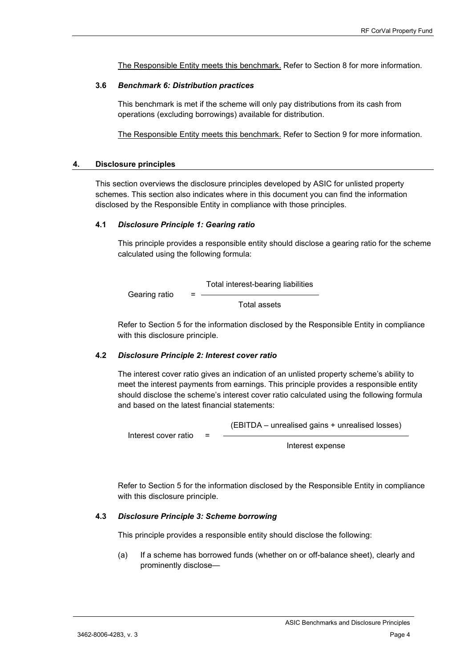The Responsible Entity meets this benchmark. Refer to Section [8](#page-12-0) for more information.

#### **3.6** *Benchmark 6: Distribution practices*

This benchmark is met if the scheme will only pay distributions from its cash from operations (excluding borrowings) available for distribution.

The Responsible Entity meets this benchmark. Refer to Section [9](#page-13-0) for more information.

#### **4. Disclosure principles**

This section overviews the disclosure principles developed by ASIC for unlisted property schemes. This section also indicates where in this document you can find the information disclosed by the Responsible Entity in compliance with those principles.

#### **4.1** *Disclosure Principle 1: Gearing ratio*

This principle provides a responsible entity should disclose a gearing ratio for the scheme calculated using the following formula:

Gearing ratio  $=$ Total interest-bearing liabilities Total assets

Refer to Section [5](#page-8-0) for the information disclosed by the Responsible Entity in compliance with this disclosure principle.

#### **4.2** *Disclosure Principle 2: Interest cover ratio*

The interest cover ratio gives an indication of an unlisted property scheme's ability to meet the interest payments from earnings. This principle provides a responsible entity should disclose the scheme's interest cover ratio calculated using the following formula and based on the latest financial statements:

Interest cover ratio = (EBITDA – unrealised gains + unrealised losses)

Interest expense

Refer to Section [5](#page-8-0) for the information disclosed by the Responsible Entity in compliance with this disclosure principle.

#### **4.3** *Disclosure Principle 3: Scheme borrowing*

This principle provides a responsible entity should disclose the following:

(a) If a scheme has borrowed funds (whether on or off-balance sheet), clearly and prominently disclose—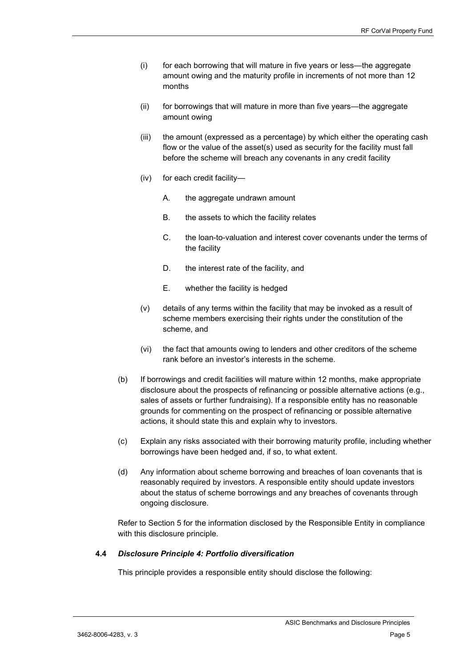- (i) for each borrowing that will mature in five years or less—the aggregate amount owing and the maturity profile in increments of not more than 12 months
- (ii) for borrowings that will mature in more than five years—the aggregate amount owing
- (iii) the amount (expressed as a percentage) by which either the operating cash flow or the value of the asset(s) used as security for the facility must fall before the scheme will breach any covenants in any credit facility
- (iv) for each credit facility—
	- A. the aggregate undrawn amount
	- B. the assets to which the facility relates
	- C. the loan-to-valuation and interest cover covenants under the terms of the facility
	- D. the interest rate of the facility, and
	- E. whether the facility is hedged
- (v) details of any terms within the facility that may be invoked as a result of scheme members exercising their rights under the constitution of the scheme, and
- (vi) the fact that amounts owing to lenders and other creditors of the scheme rank before an investor's interests in the scheme.
- (b) If borrowings and credit facilities will mature within 12 months, make appropriate disclosure about the prospects of refinancing or possible alternative actions (e.g., sales of assets or further fundraising). If a responsible entity has no reasonable grounds for commenting on the prospect of refinancing or possible alternative actions, it should state this and explain why to investors.
- (c) Explain any risks associated with their borrowing maturity profile, including whether borrowings have been hedged and, if so, to what extent.
- (d) Any information about scheme borrowing and breaches of loan covenants that is reasonably required by investors. A responsible entity should update investors about the status of scheme borrowings and any breaches of covenants through ongoing disclosure.

Refer to Section [5](#page-8-0) for the information disclosed by the Responsible Entity in compliance with this disclosure principle.

#### **4.4** *Disclosure Principle 4: Portfolio diversification*

This principle provides a responsible entity should disclose the following: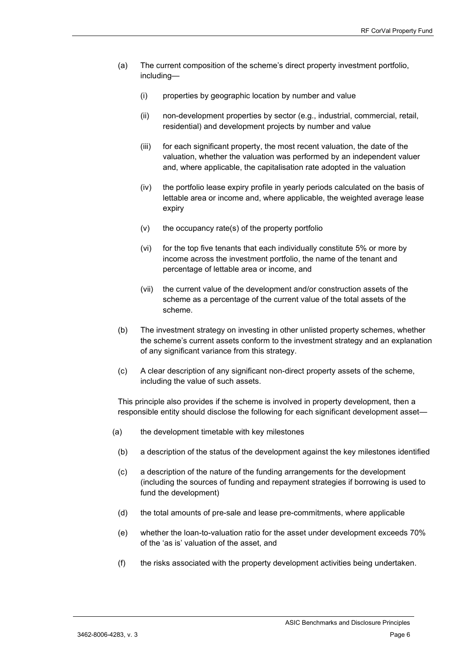- (a) The current composition of the scheme's direct property investment portfolio, including—
	- (i) properties by geographic location by number and value
	- (ii) non-development properties by sector (e.g., industrial, commercial, retail, residential) and development projects by number and value
	- (iii) for each significant property, the most recent valuation, the date of the valuation, whether the valuation was performed by an independent valuer and, where applicable, the capitalisation rate adopted in the valuation
	- (iv) the portfolio lease expiry profile in yearly periods calculated on the basis of lettable area or income and, where applicable, the weighted average lease expiry
	- (v) the occupancy rate(s) of the property portfolio
	- (vi) for the top five tenants that each individually constitute 5% or more by income across the investment portfolio, the name of the tenant and percentage of lettable area or income, and
	- (vii) the current value of the development and/or construction assets of the scheme as a percentage of the current value of the total assets of the scheme.
- (b) The investment strategy on investing in other unlisted property schemes, whether the scheme's current assets conform to the investment strategy and an explanation of any significant variance from this strategy.
- (c) A clear description of any significant non-direct property assets of the scheme, including the value of such assets.

This principle also provides if the scheme is involved in property development, then a responsible entity should disclose the following for each significant development asset—

- (a) the development timetable with key milestones
	- (b) a description of the status of the development against the key milestones identified
	- (c) a description of the nature of the funding arrangements for the development (including the sources of funding and repayment strategies if borrowing is used to fund the development)
	- (d) the total amounts of pre-sale and lease pre-commitments, where applicable
	- (e) whether the loan-to-valuation ratio for the asset under development exceeds 70% of the 'as is' valuation of the asset, and
	- (f) the risks associated with the property development activities being undertaken.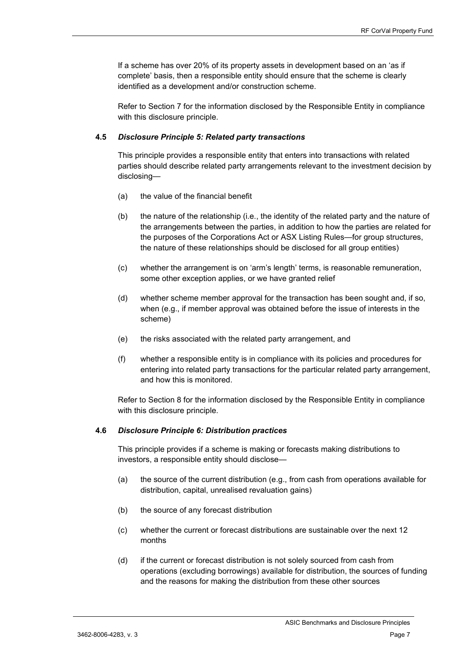If a scheme has over 20% of its property assets in development based on an 'as if complete' basis, then a responsible entity should ensure that the scheme is clearly identified as a development and/or construction scheme.

Refer to Section [7](#page-11-0) for the information disclosed by the Responsible Entity in compliance with this disclosure principle.

## **4.5** *Disclosure Principle 5: Related party transactions*

This principle provides a responsible entity that enters into transactions with related parties should describe related party arrangements relevant to the investment decision by disclosing—

- (a) the value of the financial benefit
- (b) the nature of the relationship (i.e., the identity of the related party and the nature of the arrangements between the parties, in addition to how the parties are related for the purposes of the Corporations Act or ASX Listing Rules—for group structures, the nature of these relationships should be disclosed for all group entities)
- (c) whether the arrangement is on 'arm's length' terms, is reasonable remuneration, some other exception applies, or we have granted relief
- (d) whether scheme member approval for the transaction has been sought and, if so, when (e.g., if member approval was obtained before the issue of interests in the scheme)
- (e) the risks associated with the related party arrangement, and
- (f) whether a responsible entity is in compliance with its policies and procedures for entering into related party transactions for the particular related party arrangement, and how this is monitored.

Refer to Section [8](#page-12-0) for the information disclosed by the Responsible Entity in compliance with this disclosure principle.

#### **4.6** *Disclosure Principle 6: Distribution practices*

This principle provides if a scheme is making or forecasts making distributions to investors, a responsible entity should disclose—

- (a) the source of the current distribution (e.g., from cash from operations available for distribution, capital, unrealised revaluation gains)
- (b) the source of any forecast distribution
- (c) whether the current or forecast distributions are sustainable over the next 12 months
- (d) if the current or forecast distribution is not solely sourced from cash from operations (excluding borrowings) available for distribution, the sources of funding and the reasons for making the distribution from these other sources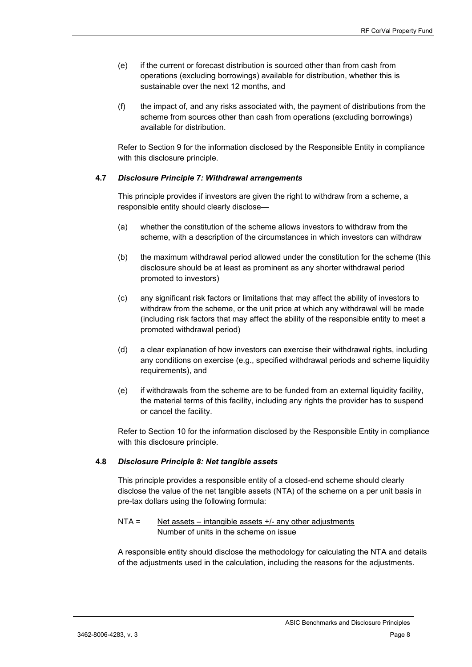- (e) if the current or forecast distribution is sourced other than from cash from operations (excluding borrowings) available for distribution, whether this is sustainable over the next 12 months, and
- (f) the impact of, and any risks associated with, the payment of distributions from the scheme from sources other than cash from operations (excluding borrowings) available for distribution.

Refer to Section [9](#page-13-0) for the information disclosed by the Responsible Entity in compliance with this disclosure principle.

## **4.7** *Disclosure Principle 7: Withdrawal arrangements*

This principle provides if investors are given the right to withdraw from a scheme, a responsible entity should clearly disclose—

- (a) whether the constitution of the scheme allows investors to withdraw from the scheme, with a description of the circumstances in which investors can withdraw
- (b) the maximum withdrawal period allowed under the constitution for the scheme (this disclosure should be at least as prominent as any shorter withdrawal period promoted to investors)
- (c) any significant risk factors or limitations that may affect the ability of investors to withdraw from the scheme, or the unit price at which any withdrawal will be made (including risk factors that may affect the ability of the responsible entity to meet a promoted withdrawal period)
- (d) a clear explanation of how investors can exercise their withdrawal rights, including any conditions on exercise (e.g., specified withdrawal periods and scheme liquidity requirements), and
- (e) if withdrawals from the scheme are to be funded from an external liquidity facility, the material terms of this facility, including any rights the provider has to suspend or cancel the facility.

Refer to Section [10](#page-13-1) for the information disclosed by the Responsible Entity in compliance with this disclosure principle.

## **4.8** *Disclosure Principle 8: Net tangible assets*

This principle provides a responsible entity of a closed-end scheme should clearly disclose the value of the net tangible assets (NTA) of the scheme on a per unit basis in pre-tax dollars using the following formula:

## NTA = Net assets – intangible assets +/- any other adjustments Number of units in the scheme on issue

A responsible entity should disclose the methodology for calculating the NTA and details of the adjustments used in the calculation, including the reasons for the adjustments.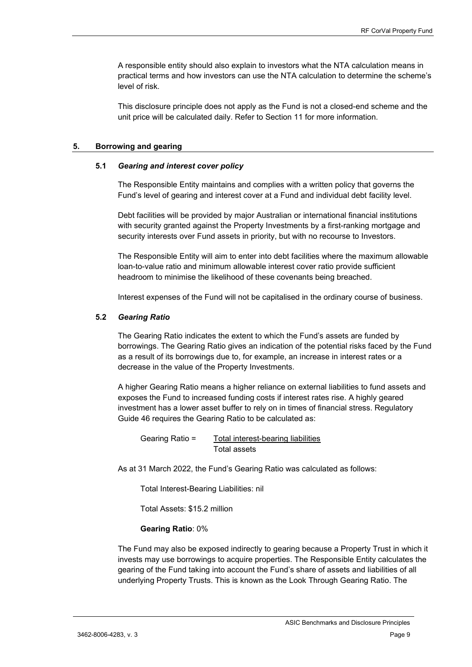A responsible entity should also explain to investors what the NTA calculation means in practical terms and how investors can use the NTA calculation to determine the scheme's level of risk.

This disclosure principle does not apply as the Fund is not a closed-end scheme and the unit price will be calculated daily. Refer to Section [11](#page-13-2) for more information.

#### <span id="page-8-0"></span>**5. Borrowing and gearing**

#### **5.1** *Gearing and interest cover policy*

The Responsible Entity maintains and complies with a written policy that governs the Fund's level of gearing and interest cover at a Fund and individual debt facility level.

Debt facilities will be provided by major Australian or international financial institutions with security granted against the Property Investments by a first-ranking mortgage and security interests over Fund assets in priority, but with no recourse to Investors.

The Responsible Entity will aim to enter into debt facilities where the maximum allowable loan-to-value ratio and minimum allowable interest cover ratio provide sufficient headroom to minimise the likelihood of these covenants being breached.

Interest expenses of the Fund will not be capitalised in the ordinary course of business.

## **5.2** *Gearing Ratio*

The Gearing Ratio indicates the extent to which the Fund's assets are funded by borrowings. The Gearing Ratio gives an indication of the potential risks faced by the Fund as a result of its borrowings due to, for example, an increase in interest rates or a decrease in the value of the Property Investments.

A higher Gearing Ratio means a higher reliance on external liabilities to fund assets and exposes the Fund to increased funding costs if interest rates rise. A highly geared investment has a lower asset buffer to rely on in times of financial stress. Regulatory Guide 46 requires the Gearing Ratio to be calculated as:

Gearing Ratio = Total interest-bearing liabilities Total assets

As at 31 March 2022, the Fund's Gearing Ratio was calculated as follows:

Total Interest-Bearing Liabilities: nil

Total Assets: \$15.2 million

#### **Gearing Ratio**: 0%

The Fund may also be exposed indirectly to gearing because a Property Trust in which it invests may use borrowings to acquire properties. The Responsible Entity calculates the gearing of the Fund taking into account the Fund's share of assets and liabilities of all underlying Property Trusts. This is known as the Look Through Gearing Ratio. The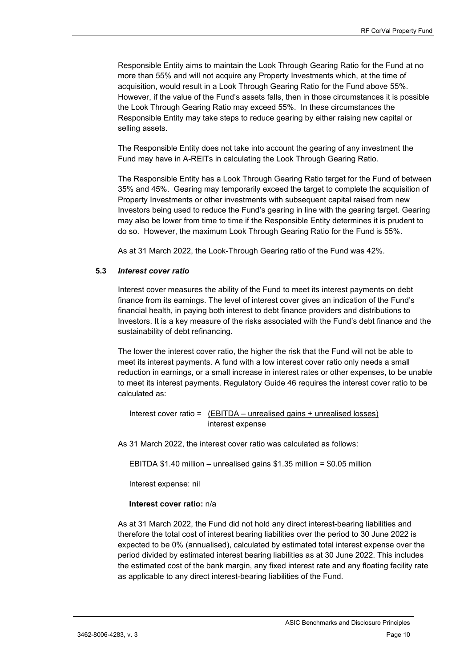Responsible Entity aims to maintain the Look Through Gearing Ratio for the Fund at no more than 55% and will not acquire any Property Investments which, at the time of acquisition, would result in a Look Through Gearing Ratio for the Fund above 55%. However, if the value of the Fund's assets falls, then in those circumstances it is possible the Look Through Gearing Ratio may exceed 55%. In these circumstances the Responsible Entity may take steps to reduce gearing by either raising new capital or selling assets.

The Responsible Entity does not take into account the gearing of any investment the Fund may have in A-REITs in calculating the Look Through Gearing Ratio.

The Responsible Entity has a Look Through Gearing Ratio target for the Fund of between 35% and 45%. Gearing may temporarily exceed the target to complete the acquisition of Property Investments or other investments with subsequent capital raised from new Investors being used to reduce the Fund's gearing in line with the gearing target. Gearing may also be lower from time to time if the Responsible Entity determines it is prudent to do so. However, the maximum Look Through Gearing Ratio for the Fund is 55%.

As at 31 March 2022, the Look-Through Gearing ratio of the Fund was 42%.

## **5.3** *Interest cover ratio*

Interest cover measures the ability of the Fund to meet its interest payments on debt finance from its earnings. The level of interest cover gives an indication of the Fund's financial health, in paying both interest to debt finance providers and distributions to Investors. It is a key measure of the risks associated with the Fund's debt finance and the sustainability of debt refinancing.

The lower the interest cover ratio, the higher the risk that the Fund will not be able to meet its interest payments. A fund with a low interest cover ratio only needs a small reduction in earnings, or a small increase in interest rates or other expenses, to be unable to meet its interest payments. Regulatory Guide 46 requires the interest cover ratio to be calculated as:

Interest cover ratio = (EBITDA – unrealised gains + unrealised losses) interest expense

As 31 March 2022, the interest cover ratio was calculated as follows:

EBITDA \$1.40 million – unrealised gains \$1.35 million = \$0.05 million

Interest expense: nil

## **Interest cover ratio:** n/a

As at 31 March 2022, the Fund did not hold any direct interest-bearing liabilities and therefore the total cost of interest bearing liabilities over the period to 30 June 2022 is expected to be 0% (annualised), calculated by estimated total interest expense over the period divided by estimated interest bearing liabilities as at 30 June 2022. This includes the estimated cost of the bank margin, any fixed interest rate and any floating facility rate as applicable to any direct interest-bearing liabilities of the Fund.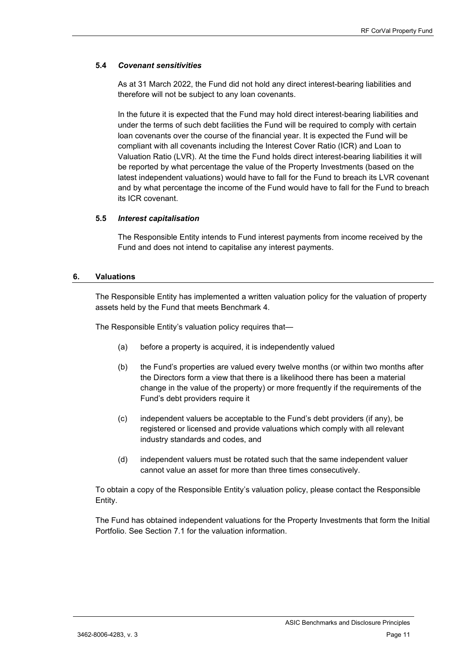## **5.4** *Covenant sensitivities*

As at 31 March 2022, the Fund did not hold any direct interest-bearing liabilities and therefore will not be subject to any loan covenants.

In the future it is expected that the Fund may hold direct interest-bearing liabilities and under the terms of such debt facilities the Fund will be required to comply with certain loan covenants over the course of the financial year. It is expected the Fund will be compliant with all covenants including the Interest Cover Ratio (ICR) and Loan to Valuation Ratio (LVR). At the time the Fund holds direct interest-bearing liabilities it will be reported by what percentage the value of the Property Investments (based on the latest independent valuations) would have to fall for the Fund to breach its LVR covenant and by what percentage the income of the Fund would have to fall for the Fund to breach its ICR covenant.

## **5.5** *Interest capitalisation*

The Responsible Entity intends to Fund interest payments from income received by the Fund and does not intend to capitalise any interest payments.

#### <span id="page-10-0"></span>**6. Valuations**

The Responsible Entity has implemented a written valuation policy for the valuation of property assets held by the Fund that meets Benchmark 4.

The Responsible Entity's valuation policy requires that—

- (a) before a property is acquired, it is independently valued
- (b) the Fund's properties are valued every twelve months (or within two months after the Directors form a view that there is a likelihood there has been a material change in the value of the property) or more frequently if the requirements of the Fund's debt providers require it
- (c) independent valuers be acceptable to the Fund's debt providers (if any), be registered or licensed and provide valuations which comply with all relevant industry standards and codes, and
- (d) independent valuers must be rotated such that the same independent valuer cannot value an asset for more than three times consecutively.

To obtain a copy of the Responsible Entity's valuation policy, please contact the Responsible Entity.

The Fund has obtained independent valuations for the Property Investments that form the Initial Portfolio. See Section [7.1](#page-11-1) for the valuation information.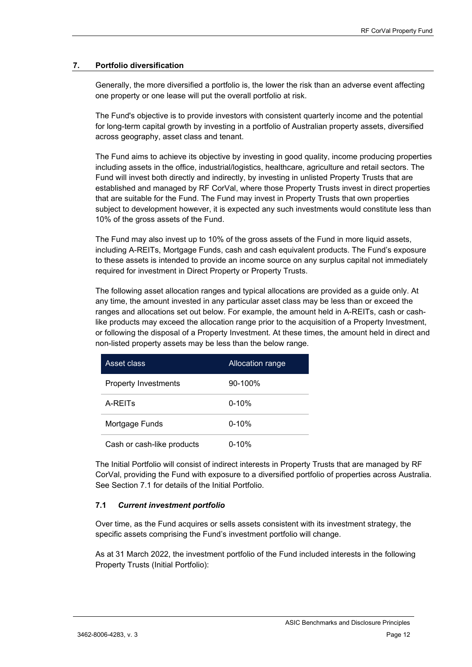## <span id="page-11-0"></span>**7. Portfolio diversification**

Generally, the more diversified a portfolio is, the lower the risk than an adverse event affecting one property or one lease will put the overall portfolio at risk.

The Fund's objective is to provide investors with consistent quarterly income and the potential for long-term capital growth by investing in a portfolio of Australian property assets, diversified across geography, asset class and tenant.

The Fund aims to achieve its objective by investing in good quality, income producing properties including assets in the office, industrial/logistics, healthcare, agriculture and retail sectors. The Fund will invest both directly and indirectly, by investing in unlisted Property Trusts that are established and managed by RF CorVal, where those Property Trusts invest in direct properties that are suitable for the Fund. The Fund may invest in Property Trusts that own properties subject to development however, it is expected any such investments would constitute less than 10% of the gross assets of the Fund.

The Fund may also invest up to 10% of the gross assets of the Fund in more liquid assets, including A-REITs, Mortgage Funds, cash and cash equivalent products. The Fund's exposure to these assets is intended to provide an income source on any surplus capital not immediately required for investment in Direct Property or Property Trusts.

The following asset allocation ranges and typical allocations are provided as a guide only. At any time, the amount invested in any particular asset class may be less than or exceed the ranges and allocations set out below. For example, the amount held in A-REITs, cash or cashlike products may exceed the allocation range prior to the acquisition of a Property Investment, or following the disposal of a Property Investment. At these times, the amount held in direct and non-listed property assets may be less than the below range.

| Asset class                 | Allocation range |  |
|-----------------------------|------------------|--|
| <b>Property Investments</b> | 90-100%          |  |
| A-REIT <sub>S</sub>         | $0 - 10%$        |  |
| Mortgage Funds              | $0 - 10%$        |  |
| Cash or cash-like products  | $0 - 10%$        |  |

The Initial Portfolio will consist of indirect interests in Property Trusts that are managed by RF CorVal, providing the Fund with exposure to a diversified portfolio of properties across Australia. See Section 7.1 for details of the Initial Portfolio.

## <span id="page-11-1"></span>**7.1** *Current investment portfolio*

Over time, as the Fund acquires or sells assets consistent with its investment strategy, the specific assets comprising the Fund's investment portfolio will change.

As at 31 March 2022, the investment portfolio of the Fund included interests in the following Property Trusts (Initial Portfolio):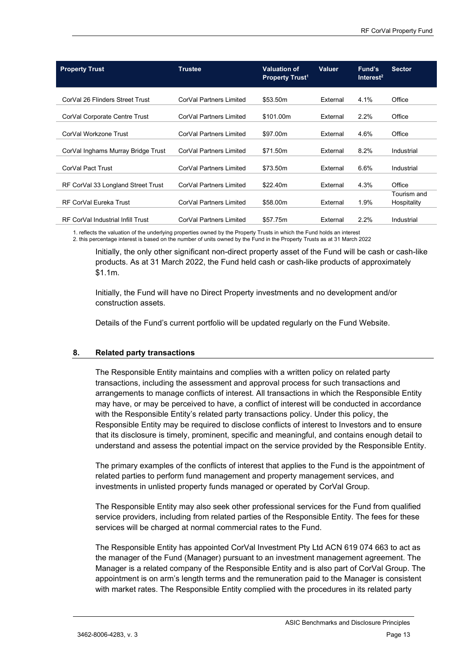| <b>Property Trust</b>              | <b>Trustee</b>          | <b>Valuation of</b><br><b>Property Trust<sup>1</sup></b> | <b>Valuer</b> | Fund's<br>Interest <sup>2</sup> | <b>Sector</b>              |
|------------------------------------|-------------------------|----------------------------------------------------------|---------------|---------------------------------|----------------------------|
| CorVal 26 Flinders Street Trust    | CorVal Partners Limited | \$53.50m                                                 | External      | 4.1%                            | Office                     |
| CorVal Corporate Centre Trust      | CorVal Partners Limited | \$101.00m                                                | External      | 2.2%                            | Office                     |
| CorVal Workzone Trust              | CorVal Partners Limited | \$97.00m                                                 | External      | 4.6%                            | Office                     |
| CorVal Inghams Murray Bridge Trust | CorVal Partners Limited | \$71.50m                                                 | External      | 8.2%                            | Industrial                 |
| CorVal Pact Trust                  | CorVal Partners Limited | \$73.50m                                                 | External      | 6.6%                            | Industrial                 |
| RF CorVal 33 Longland Street Trust | CorVal Partners Limited | \$22.40m                                                 | External      | 4.3%                            | Office                     |
| <b>RF CorVal Eureka Trust</b>      | CorVal Partners Limited | \$58,00m                                                 | External      | 1.9%                            | Tourism and<br>Hospitality |
| RF CorVal Industrial Infill Trust  | CorVal Partners Limited | \$57.75m                                                 | External      | 2.2%                            | Industrial                 |

1. reflects the valuation of the underlying properties owned by the Property Trusts in which the Fund holds an interest 2. this percentage interest is based on the number of units owned by the Fund in the Property Trusts as at 31 March 2022

Initially, the only other significant non-direct property asset of the Fund will be cash or cash-like products. As at 31 March 2022, the Fund held cash or cash-like products of approximately \$1.1m.

Initially, the Fund will have no Direct Property investments and no development and/or construction assets.

Details of the Fund's current portfolio will be updated regularly on the Fund Website.

## <span id="page-12-0"></span>**8. Related party transactions**

The Responsible Entity maintains and complies with a written policy on related party transactions, including the assessment and approval process for such transactions and arrangements to manage conflicts of interest. All transactions in which the Responsible Entity may have, or may be perceived to have, a conflict of interest will be conducted in accordance with the Responsible Entity's related party transactions policy. Under this policy, the Responsible Entity may be required to disclose conflicts of interest to Investors and to ensure that its disclosure is timely, prominent, specific and meaningful, and contains enough detail to understand and assess the potential impact on the service provided by the Responsible Entity.

The primary examples of the conflicts of interest that applies to the Fund is the appointment of related parties to perform fund management and property management services, and investments in unlisted property funds managed or operated by CorVal Group.

The Responsible Entity may also seek other professional services for the Fund from qualified service providers, including from related parties of the Responsible Entity. The fees for these services will be charged at normal commercial rates to the Fund.

The Responsible Entity has appointed CorVal Investment Pty Ltd ACN 619 074 663 to act as the manager of the Fund (Manager) pursuant to an investment management agreement. The Manager is a related company of the Responsible Entity and is also part of CorVal Group. The appointment is on arm's length terms and the remuneration paid to the Manager is consistent with market rates. The Responsible Entity complied with the procedures in its related party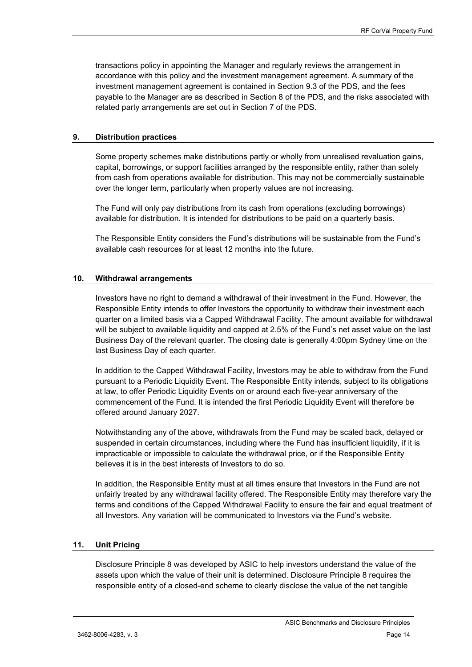transactions policy in appointing the Manager and regularly reviews the arrangement in accordance with this policy and the investment management agreement. A summary of the investment management agreement is contained in Section 9.3 of the PDS, and the fees payable to the Manager are as described in Section 8 of the PDS, and the risks associated with related party arrangements are set out in Section 7 of the PDS.

## <span id="page-13-0"></span>**9. Distribution practices**

Some property schemes make distributions partly or wholly from unrealised revaluation gains, capital, borrowings, or support facilities arranged by the responsible entity, rather than solely from cash from operations available for distribution. This may not be commercially sustainable over the longer term, particularly when property values are not increasing.

The Fund will only pay distributions from its cash from operations (excluding borrowings) available for distribution. It is intended for distributions to be paid on a quarterly basis.

The Responsible Entity considers the Fund's distributions will be sustainable from the Fund's available cash resources for at least 12 months into the future.

## <span id="page-13-1"></span>**10. Withdrawal arrangements**

Investors have no right to demand a withdrawal of their investment in the Fund. However, the Responsible Entity intends to offer Investors the opportunity to withdraw their investment each quarter on a limited basis via a Capped Withdrawal Facility. The amount available for withdrawal will be subject to available liquidity and capped at 2.5% of the Fund's net asset value on the last Business Day of the relevant quarter. The closing date is generally 4:00pm Sydney time on the last Business Day of each quarter.

In addition to the Capped Withdrawal Facility, Investors may be able to withdraw from the Fund pursuant to a Periodic Liquidity Event. The Responsible Entity intends, subject to its obligations at law, to offer Periodic Liquidity Events on or around each five-year anniversary of the commencement of the Fund. It is intended the first Periodic Liquidity Event will therefore be offered around January 2027.

Notwithstanding any of the above, withdrawals from the Fund may be scaled back, delayed or suspended in certain circumstances, including where the Fund has insufficient liquidity, if it is impracticable or impossible to calculate the withdrawal price, or if the Responsible Entity believes it is in the best interests of Investors to do so.

In addition, the Responsible Entity must at all times ensure that Investors in the Fund are not unfairly treated by any withdrawal facility offered. The Responsible Entity may therefore vary the terms and conditions of the Capped Withdrawal Facility to ensure the fair and equal treatment of all Investors. Any variation will be communicated to Investors via the Fund's website.

## <span id="page-13-2"></span>**11. Unit Pricing**

Disclosure Principle 8 was developed by ASIC to help investors understand the value of the assets upon which the value of their unit is determined. Disclosure Principle 8 requires the responsible entity of a closed-end scheme to clearly disclose the value of the net tangible